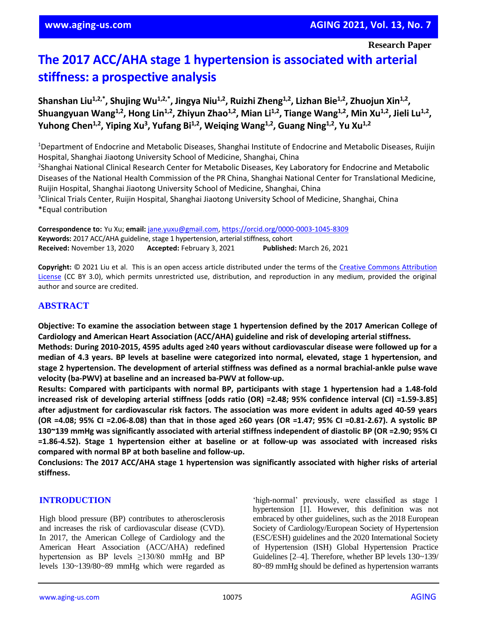# **The 2017 ACC/AHA stage 1 hypertension is associated with arterial stiffness: a prospective analysis**

Shanshan Liu<sup>1,2,\*</sup>, Shujing Wu<sup>1,2,\*</sup>, Jingya Niu<sup>1,2</sup>, Ruizhi Zheng<sup>1,2</sup>, Lizhan Bie<sup>1,2</sup>, Zhuojun Xin<sup>1,2</sup>, Shuangyuan Wang<sup>1,2</sup>, Hong Lin<sup>1,2</sup>, Zhiyun Zhao<sup>1,2</sup>, Mian Li<sup>1,2</sup>, Tiange Wang<sup>1,2</sup>, Min Xu<sup>1,2</sup>, Jieli Lu<sup>1,2</sup>, **Yuhong Chen1,2 , Yiping Xu<sup>3</sup> , Yufang Bi1,2 , Weiqing Wang1,2 , Guang Ning1,2 , Yu Xu1,2**

<sup>1</sup>Department of Endocrine and Metabolic Diseases, Shanghai Institute of Endocrine and Metabolic Diseases, Ruijin Hospital, Shanghai Jiaotong University School of Medicine, Shanghai, China <sup>2</sup>Shanghai National Clinical Research Center for Metabolic Diseases, Key Laboratory for Endocrine and Metabolic Diseases of the National Health Commission of the PR China, Shanghai National Center for Translational Medicine, Ruijin Hospital, Shanghai Jiaotong University School of Medicine, Shanghai, China <sup>3</sup>Clinical Trials Center, Ruijin Hospital, Shanghai Jiaotong University School of Medicine, Shanghai, China \*Equal contribution

**Correspondence to:** Yu Xu; **email:** [jane.yuxu@gmail.com,](mailto:jane.yuxu@gmail.com) <https://orcid.org/0000-0003-1045-8309> **Keywords:** 2017 ACC/AHA guideline, stage 1 hypertension, arterial stiffness, cohort **Received:** November 13, 2020 **Accepted:** February 3, 2021 **Published:** March 26, 2021

Copyright: © 2021 Liu et al. This is an open access article distributed under the terms of the Creative Commons Attribution [License](https://creativecommons.org/licenses/by/3.0/) (CC BY 3.0), which permits unrestricted use, distribution, and reproduction in any medium, provided the original author and source are credited.

## **ABSTRACT**

**Objective: To examine the association between stage 1 hypertension defined by the 2017 American College of Cardiology and American Heart Association (ACC/AHA) guideline and risk of developing arterial stiffness.**

**Methods: During 2010-2015, 4595 adults aged ≥40 years without cardiovascular disease were followed up for a** median of 4.3 years. BP levels at baseline were categorized into normal, elevated, stage 1 hypertension, and **stage 2 hypertension. The development of arterial stiffness was defined as a normal brachial-ankle pulse wave velocity (ba-PWV) at baseline and an increased ba-PWV at follow-up.**

**Results: Compared with participants with normal BP, participants with stage 1 hypertension had a 1.48-fold increased risk of developing arterial stiffness [odds ratio (OR) =2.48; 95% confidence interval (CI) =1.59-3.85] after adjustment for cardiovascular risk factors. The association was more evident in adults aged 40-59 years** (OR =4.08; 95% CI =2.06-8.08) than that in those aged ≥60 years (OR =1.47; 95% CI =0.81-2.67). A systolic BP **130~139 mmHg was significantly associated with arterial stiffness independent of diastolic BP (OR =2.90; 95% CI =1.86-4.52). Stage 1 hypertension either at baseline or at follow-up was associated with increased risks compared with normal BP at both baseline and follow-up.**

**Conclusions: The 2017 ACC/AHA stage 1 hypertension was significantly associated with higher risks of arterial stiffness.**

#### **INTRODUCTION**

High blood pressure (BP) contributes to atherosclerosis and increases the risk of cardiovascular disease (CVD). In 2017, the American College of Cardiology and the American Heart Association (ACC/AHA) redefined hypertension as BP levels  $\geq$ 130/80 mmHg and BP levels 130~139/80~89 mmHg which were regarded as 'high-normal' previously, were classified as stage 1 hypertension [1]. However, this definition was not embraced by other guidelines, such as the 2018 European Society of Cardiology/European Society of Hypertension (ESC/ESH) guidelines and the 2020 International Society of Hypertension (ISH) Global Hypertension Practice Guidelines [2–4]. Therefore, whether BP levels 130~139/ 80~89 mmHg should be defined as hypertension warrants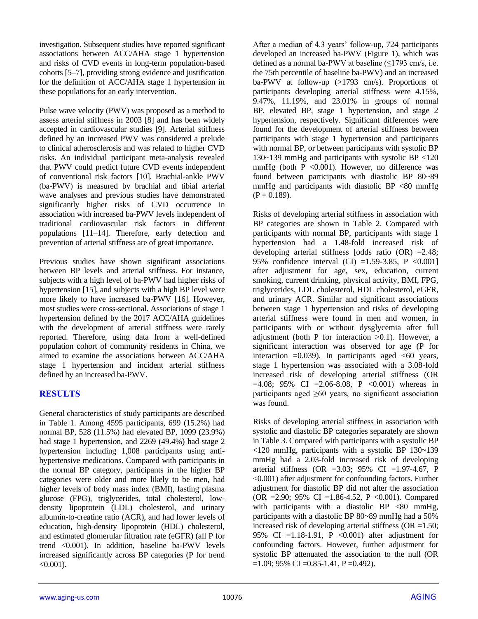investigation. Subsequent studies have reported significant associations between ACC/AHA stage 1 hypertension and risks of CVD events in long-term population-based cohorts [5–7], providing strong evidence and justification for the definition of ACC/AHA stage 1 hypertension in these populations for an early intervention.

Pulse wave velocity (PWV) was proposed as a method to assess arterial stiffness in 2003 [8] and has been widely accepted in cardiovascular studies [9]. Arterial stiffness defined by an increased PWV was considered a prelude to clinical atherosclerosis and was related to higher CVD risks. An individual participant meta-analysis revealed that PWV could predict future CVD events independent of conventional risk factors [10]. Brachial-ankle PWV (ba-PWV) is measured by brachial and tibial arterial wave analyses and previous studies have demonstrated significantly higher risks of CVD occurrence in association with increased ba-PWV levels independent of traditional cardiovascular risk factors in different populations [11–14]. Therefore, early detection and prevention of arterial stiffness are of great importance.

Previous studies have shown significant associations between BP levels and arterial stiffness. For instance, subjects with a high level of ba-PWV had higher risks of hypertension [15], and subjects with a high BP level were more likely to have increased ba-PWV [16]. However, most studies were cross-sectional. Associations of stage 1 hypertension defined by the 2017 ACC/AHA guidelines with the development of arterial stiffness were rarely reported. Therefore, using data from a well-defined population cohort of community residents in China, we aimed to examine the associations between ACC/AHA stage 1 hypertension and incident arterial stiffness defined by an increased ba-PWV.

## **RESULTS**

General characteristics of study participants are described in Table 1. Among 4595 participants, 699 (15.2%) had normal BP, 528 (11.5%) had elevated BP, 1099 (23.9%) had stage 1 hypertension, and 2269 (49.4%) had stage 2 hypertension including 1,008 participants using antihypertensive medications. Compared with participants in the normal BP category, participants in the higher BP categories were older and more likely to be men, had higher levels of body mass index (BMI), fasting plasma glucose (FPG), triglycerides, total cholesterol, lowdensity lipoprotein (LDL) cholesterol, and urinary albumin-to-creatine ratio (ACR), and had lower levels of education, high-density lipoprotein (HDL) cholesterol, and estimated glomerular filtration rate (eGFR) (all P for trend <0.001). In addition, baseline ba-PWV levels increased significantly across BP categories (P for trend  $< 0.001$ ).

After a median of 4.3 years' follow-up, 724 participants developed an increased ba-PWV (Figure 1), which was defined as a normal ba-PWV at baseline  $(\leq 1793 \text{ cm/s}, \text{i.e.})$ the 75th percentile of baseline ba-PWV) and an increased ba-PWV at follow-up (>1793 cm/s). Proportions of participants developing arterial stiffness were 4.15%, 9.47%, 11.19%, and 23.01% in groups of normal BP, elevated BP, stage 1 hypertension, and stage 2 hypertension, respectively. Significant differences were found for the development of arterial stiffness between participants with stage 1 hypertension and participants with normal BP, or between participants with systolic BP 130~139 mmHg and participants with systolic BP <120 mmHg (both  $P \leq 0.001$ ). However, no difference was found between participants with diastolic BP 80~89 mmHg and participants with diastolic BP  $\langle 80 \text{ mmHg} \rangle$  $(P = 0.189)$ .

Risks of developing arterial stiffness in association with BP categories are shown in Table 2. Compared with participants with normal BP, participants with stage 1 hypertension had a 1.48-fold increased risk of developing arterial stiffness [odds ratio  $(OR) = 2.48$ ; 95% confidence interval (CI) =1.59-3.85, P <0.001] after adjustment for age, sex, education, current smoking, current drinking, physical activity, BMI, FPG, triglycerides, LDL cholesterol, HDL cholesterol, eGFR, and urinary ACR. Similar and significant associations between stage 1 hypertension and risks of developing arterial stiffness were found in men and women, in participants with or without dysglycemia after full adjustment (both P for interaction  $>0.1$ ). However, a significant interaction was observed for age (P for interaction  $=0.039$ . In participants aged  $< 60$  years, stage 1 hypertension was associated with a 3.08-fold increased risk of developing arterial stiffness (OR  $=4.08$ ; 95% CI  $=2.06-8.08$ , P < 0.001) whereas in participants aged  $\geq 60$  years, no significant association was found.

Risks of developing arterial stiffness in association with systolic and diastolic BP categories separately are shown in Table 3. Compared with participants with a systolic BP <120 mmHg, participants with a systolic BP 130~139 mmHg had a 2.03-fold increased risk of developing arterial stiffness (OR =3.03; 95% CI =1.97-4.67, P <0.001) after adjustment for confounding factors. Further adjustment for diastolic BP did not alter the association (OR =2.90; 95% CI =1.86-4.52, P <0.001). Compared with participants with a diastolic BP  $\langle 80 \text{ mmHg}$ , participants with a diastolic BP 80~89 mmHg had a 50% increased risk of developing arterial stiffness (OR  $=1.50$ ; 95% CI =1.18-1.91, P <0.001) after adjustment for confounding factors. However, further adjustment for systolic BP attenuated the association to the null (OR  $=1.09$ ; 95% CI  $=0.85-1.41$ , P $=0.492$ ).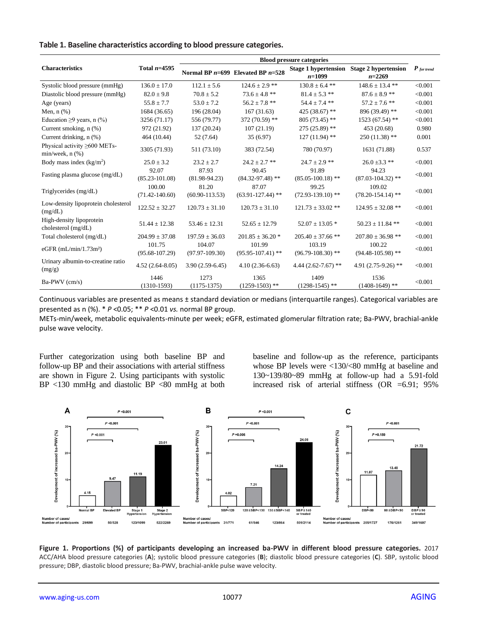|                                                         |                              | <b>Blood pressure categories</b> |                                       |                                         |                                         |               |  |
|---------------------------------------------------------|------------------------------|----------------------------------|---------------------------------------|-----------------------------------------|-----------------------------------------|---------------|--|
| <b>Characteristics</b>                                  | Total $n=4595$               |                                  | Normal BP $n=699$ Elevated BP $n=528$ | <b>Stage 1 hypertension</b><br>$n=1099$ | <b>Stage 2 hypertension</b><br>$n=2269$ | $P$ for trend |  |
| Systolic blood pressure (mmHg)                          | $136.0 \pm 17.0$             | $112.1 \pm 5.6$                  | $124.6 \pm 2.9$ **                    | $130.8 \pm 6.4$ **                      | $148.6 \pm 13.4$ **                     | < 0.001       |  |
| Diastolic blood pressure (mmHg)                         | $82.0 \pm 9.8$               | $70.8 \pm 5.2$                   | $73.6 \pm 4.8$ **                     | $81.4 \pm 5.3$ **                       | $87.6 \pm 8.9$ **                       | < 0.001       |  |
| Age (years)                                             | $55.8 \pm 7.7$               | $53.0 \pm 7.2$                   | $56.2\pm7.8$ **                       | $54.4 \pm 7.4$ **                       | $57.2 \pm 7.6$ **                       | < 0.001       |  |
| Men, $n$ $(\%)$                                         | 1684 (36.65)                 | 196 (28.04)                      | 167(31.63)                            | 425 (38.67) **                          | 896 (39.49) **                          | < 0.001       |  |
| Education $\geq$ 9 years, n (%)                         | 3256 (71.17)                 | 556 (79.77)                      | 372 (70.59) **                        | 805 (73.45) **                          | 1523 (67.54) **                         | < 0.001       |  |
| Current smoking, $n$ $(\%)$                             | 972 (21.92)                  | 137 (20.24)                      | 107(21.19)                            | 275 (25.89) **                          | 453 (20.68)                             | 0.980         |  |
| Current drinking, n (%)                                 | 464 (10.44)                  | 52 (7.64)                        | 35(6.97)                              | $127(11.94)$ **                         | $250(11.38)$ **                         | 0.001         |  |
| Physical activity $\geq 600$ METs-<br>$min/week, n$ (%) | 3305 (71.93)                 | 511 (73.10)                      | 383 (72.54)                           | 780 (70.97)                             | 1631 (71.88)                            | 0.537         |  |
| Body mass index $(kg/m2)$                               | $25.0 \pm 3.2$               | $23.2 \pm 2.7$                   | $24.2 \pm 2.7$ **                     | $24.7 \pm 2.9$ **                       | $26.0 \pm 3.3$ **                       | < 0.001       |  |
| Fasting plasma glucose (mg/dL)                          | 92.07<br>$(85.23 - 101.08)$  | 87.93<br>$(81.98-94.23)$         | 90.45<br>$(84.32 - 97.48)$ **         | 91.89<br>$(85.05-100.18)$ **            | 94.23<br>$(87.03 - 104.32)$ **          | < 0.001       |  |
| Triglycerides (mg/dL)                                   | 100.00<br>$(71.42 - 140.60)$ | 81.20<br>$(60.90 - 113.53)$      | 87.07<br>$(63.91-127.44)$ **          | 99.25<br>$(72.93-139.10)$ **            | 109.02<br>$(78.20 - 154.14)$ **         | < 0.001       |  |
| Low-density lipoprotein cholesterol<br>(mg/dL)          | $122.52 \pm 32.27$           | $120.73 \pm 31.10$               | $120.73 \pm 31.10$                    | $121.73 \pm 33.02$ **                   | $124.95 \pm 32.08$ **                   | < 0.001       |  |
| High-density lipoprotein<br>cholesterol (mg/dL)         | $51.44 \pm 12.38$            | $53.46 \pm 12.31$                | $52.65 \pm 12.79$                     | $52.07 \pm 13.05$ *                     | $50.23 \pm 11.84$ **                    | < 0.001       |  |
| Total cholesterol (mg/dL)                               | $204.99 \pm 37.08$           | $197.59 \pm 36.03$               | $201.85 \pm 36.20$ *                  | $205.40 \pm 37.66$ **                   | $207.80 \pm 36.98$ **                   | < 0.001       |  |
| eGFR $(mL/min/1.73m2)$                                  | 101.75<br>$(95.68 - 107.29)$ | 104.07<br>$(97.97-109.30)$       | 101.99<br>$(95.95-107.41)$ **         | 103.19<br>$(96.79 - 108.30)$ **         | 100.22<br>$(94.48 - 105.98)$ **         | < 0.001       |  |
| Urinary albumin-to-creatine ratio<br>(mg/g)             | $4.52(2.64 - 8.05)$          | $3.90(2.59-6.45)$                | $4.10(2.36-6.63)$                     | 4.44 $(2.62 - 7.67)$ **                 | 4.91 $(2.75-9.26)$ **                   | < 0.001       |  |
| Ba-PWV (cm/s)                                           | 1446<br>$(1310-1593)$        | 1273<br>$(1175-1375)$            | 1365<br>$(1259-1503)$ **              | 1409<br>$(1298-1545)$ **                | 1536<br>$(1408-1649)$ **                | < 0.001       |  |

Continuous variables are presented as means ± standard deviation or medians (interquartile ranges). Categorical variables are presented as n (%). \* *P* <0.05; \*\* *P* <0.01 *vs.* normal BP group.

METs-min/week, metabolic equivalents-minute per week; eGFR, estimated glomerular filtration rate; Ba-PWV, brachial-ankle pulse wave velocity.

Further categorization using both baseline BP and follow-up BP and their associations with arterial stiffness are shown in Figure 2. Using participants with systolic BP <130 mmHg and diastolic BP <80 mmHg at both baseline and follow-up as the reference, participants whose BP levels were <130/<80 mmHg at baseline and 130~139/80~89 mmHg at follow-up had a 5.91-fold increased risk of arterial stiffness (OR =6.91; 95%



**Figure 1. Proportions (%) of participants developing an increased ba-PWV in different blood pressure categories.** 2017 ACC/AHA blood pressure categories (**A**); systolic blood pressure categories (**B**); diastolic blood pressure categories (**C**). SBP, systolic blood pressure; DBP, diastolic blood pressure; Ba-PWV, brachial-ankle pulse wave velocity.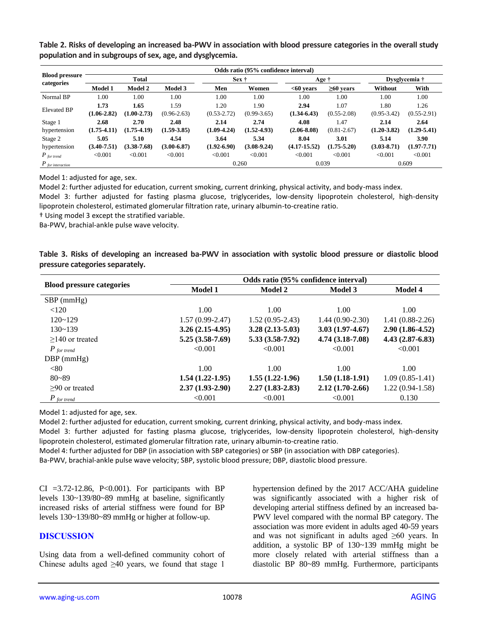**Table 2. Risks of developing an increased ba-PWV in association with blood pressure categories in the overall study population and in subgroups of sex, age, and dysglycemia.**

|                                     | Odds ratio (95% confidence interval) |                 |                 |                 |                 |                  |                 |                 |                 |  |  |  |
|-------------------------------------|--------------------------------------|-----------------|-----------------|-----------------|-----------------|------------------|-----------------|-----------------|-----------------|--|--|--|
| <b>Blood pressure</b><br>categories |                                      | <b>Total</b>    |                 | Sex †           |                 | Age †            |                 | Dysglycemia †   |                 |  |  |  |
|                                     | <b>Model 1</b>                       | <b>Model 2</b>  | Model 3         | Men             | Women           | $<00$ vears      | $\geq 60$ vears | Without         | With            |  |  |  |
| Normal BP                           | 1.00                                 | 1.00            | 1.00            | 1.00            | 1.00            | 1.00             | 1.00            | 1.00            | 1.00            |  |  |  |
| <b>Elevated BP</b>                  | 1.73                                 | 1.65            | 1.59            | 1.20            | 1.90            | 2.94             | 1.07            | 1.80            | 1.26            |  |  |  |
|                                     | $(1.06 - 2.82)$                      | $(1.00 - 2.73)$ | $(0.96 - 2.63)$ | $(0.53 - 2.72)$ | $(0.99 - 3.65)$ | $(1.34 - 6.43)$  | $(0.55 - 2.08)$ | $(0.95 - 3.42)$ | $(0.55-2.91)$   |  |  |  |
| Stage 1                             | 2.68                                 | 2.70            | 2.48            | 2.14            | 2.74            | 4.08             | 1.47            | 2.14            | 2.64            |  |  |  |
| hypertension                        | $(1.75-4.11)$                        | $(1.75 - 4.19)$ | $(1.59 - 3.85)$ | $(1.09 - 4.24)$ | $(1.52 - 4.93)$ | $(2.06 - 8.08)$  | $(0.81 - 2.67)$ | $(1.20 - 3.82)$ | $(1.29 - 5.41)$ |  |  |  |
| Stage 2                             | 5.05                                 | 5.10            | 4.54            | 3.64            | 5.34            | 8.04             | 3.01            | 5.14            | 3.90            |  |  |  |
| hypertension                        | $(3.40 - 7.51)$                      | $(3.38 - 7.68)$ | $(3.00 - 6.87)$ | $(1.92 - 6.90)$ | $(3.08-9.24)$   | $(4.17 - 15.52)$ | $(1.75 - 5.20)$ | $(3.03 - 8.71)$ | $(1.97 - 7.71)$ |  |  |  |
| $P_{\text{for trend}}$              | < 0.001                              | < 0.001         | < 0.001         | < 0.001         | < 0.001         | < 0.001          | < 0.001         | < 0.001         | < 0.001         |  |  |  |
| $P_{\text{ for interaction}}$       |                                      |                 |                 |                 | 0.260           | 0.039            |                 | 0.609           |                 |  |  |  |

Model 1: adjusted for age, sex.

Model 2: further adjusted for education, current smoking, current drinking, physical activity, and body-mass index.

Model 3: further adjusted for fasting plasma glucose, triglycerides, low-density lipoprotein cholesterol, high-density lipoprotein cholesterol, estimated glomerular filtration rate, urinary albumin-to-creatine ratio.

† Using model 3 except the stratified variable.

Ba-PWV, brachial-ankle pulse wave velocity.

|  |                                 |  |  | Table 3. Risks of developing an increased ba-PWV in association with systolic blood pressure or diastolic blood |  |  |  |  |
|--|---------------------------------|--|--|-----------------------------------------------------------------------------------------------------------------|--|--|--|--|
|  | pressure categories separately. |  |  |                                                                                                                 |  |  |  |  |

|                                  | Odds ratio (95% confidence interval) |                   |                   |                     |  |  |  |  |
|----------------------------------|--------------------------------------|-------------------|-------------------|---------------------|--|--|--|--|
| <b>Blood pressure categories</b> | <b>Model 1</b>                       | <b>Model 2</b>    | <b>Model 3</b>    | <b>Model 4</b>      |  |  |  |  |
| $SBP$ (mmHg)                     |                                      |                   |                   |                     |  |  |  |  |
| < 120                            | 1.00                                 | 1.00              | 1.00              | 1.00                |  |  |  |  |
| $120 - 129$                      | $1.57(0.99-2.47)$                    | $1.52(0.95-2.43)$ | $1.44(0.90-2.30)$ | $1.41(0.88-2.26)$   |  |  |  |  |
| $130 - 139$                      | $3.26(2.15-4.95)$                    | $3.28(2.13-5.03)$ | $3.03(1.97-4.67)$ | $2.90(1.86 - 4.52)$ |  |  |  |  |
| $>140$ or treated                | $5.25(3.58-7.69)$                    | $5.33(3.58-7.92)$ | $4.74(3.18-7.08)$ | $4.43(2.87-6.83)$   |  |  |  |  |
| $P$ for trend                    | < 0.001                              | < 0.001           | < 0.001           | < 0.001             |  |  |  |  |
| $DBP$ (mmHg)                     |                                      |                   |                   |                     |  |  |  |  |
| <80                              | 1.00                                 | 1.00              | 1.00              | 1.00                |  |  |  |  |
| $80 - 89$                        | $1.54(1.22-1.95)$                    | $1.55(1.22-1.96)$ | $1.50(1.18-1.91)$ | $1.09(0.85-1.41)$   |  |  |  |  |
| $>90$ or treated                 | $2.37(1.93-2.90)$                    | $2.27(1.83-2.83)$ | $2.12(1.70-2.66)$ | $1.22(0.94-1.58)$   |  |  |  |  |
| $P$ for trend                    | < 0.001                              | < 0.001           | < 0.001           | 0.130               |  |  |  |  |

Model 1: adjusted for age, sex.

Model 2: further adjusted for education, current smoking, current drinking, physical activity, and body-mass index.

Model 3: further adjusted for fasting plasma glucose, triglycerides, low-density lipoprotein cholesterol, high-density lipoprotein cholesterol, estimated glomerular filtration rate, urinary albumin-to-creatine ratio.

Model 4: further adjusted for DBP (in association with SBP categories) or SBP (in association with DBP categories).

Ba-PWV, brachial-ankle pulse wave velocity; SBP, systolic blood pressure; DBP, diastolic blood pressure.

CI  $=3.72-12.86$ , P<0.001). For participants with BP levels 130~139/80~89 mmHg at baseline, significantly increased risks of arterial stiffness were found for BP levels 130~139/80~89 mmHg or higher at follow-up.

#### **DISCUSSION**

Using data from a well-defined community cohort of Chinese adults aged  $\geq 40$  years, we found that stage 1

hypertension defined by the 2017 ACC/AHA guideline was significantly associated with a higher risk of developing arterial stiffness defined by an increased ba-PWV level compared with the normal BP category. The association was more evident in adults aged 40-59 years and was not significant in adults aged  $\geq 60$  years. In addition, a systolic BP of 130~139 mmHg might be more closely related with arterial stiffness than a diastolic BP 80~89 mmHg. Furthermore, participants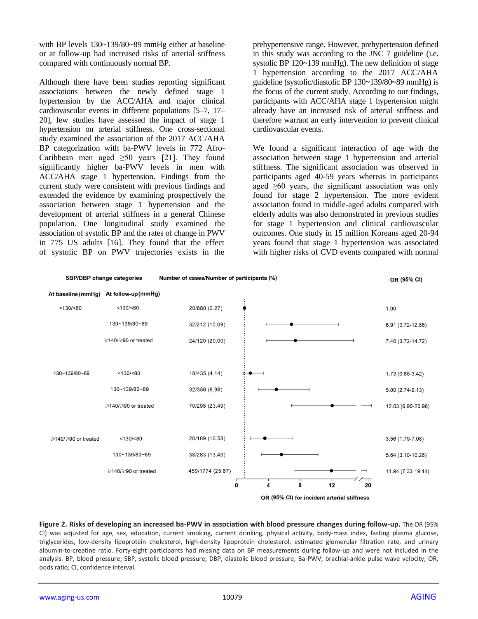with BP levels 130~139/80~89 mmHg either at baseline or at follow-up had increased risks of arterial stiffness compared with continuously normal BP.

Although there have been studies reporting significant associations between the newly defined stage 1 hypertension by the ACC/AHA and major clinical cardiovascular events in different populations [5–7, 17– 20], few studies have assessed the impact of stage 1 hypertension on arterial stiffness. One cross-sectional study examined the association of the 2017 ACC/AHA BP categorization with ba-PWV levels in 772 Afro-Caribbean men aged  $\geq 50$  years [21]. They found significantly higher ba-PWV levels in men with ACC/AHA stage 1 hypertension. Findings from the current study were consistent with previous findings and extended the evidence by examining prospectively the association between stage 1 hypertension and the development of arterial stiffness in a general Chinese population. One longitudinal study examined the association of systolic BP and the rates of change in PWV in 775 US adults [16]. They found that the effect of systolic BP on PWV trajectories exists in the

prehypertensive range. However, prehypertension defined in this study was according to the JNC 7 guideline (i.e. systolic BP 120~139 mmHg). The new definition of stage 1 hypertension according to the 2017 ACC/AHA guideline (systolic/diastolic BP 130~139/80~89 mmHg) is the focus of the current study. According to our findings, participants with ACC/AHA stage 1 hypertension might already have an increased risk of arterial stiffness and therefore warrant an early intervention to prevent clinical cardiovascular events.

We found a significant interaction of age with the association between stage 1 hypertension and arterial stiffness. The significant association was observed in participants aged 40-59 years whereas in participants aged  $\geq 60$  years, the significant association was only found for stage 2 hypertension. The more evident association found in middle-aged adults compared with elderly adults was also demonstrated in previous studies for stage 1 hypertension and clinical cardiovascular outcomes. One study in 15 million Koreans aged 20-94 years found that stage 1 hypertension was associated with higher risks of CVD events compared with normal



**Figure 2. Risks of developing an increased ba-PWV in association with blood pressure changes during follow-up.** The OR (95% CI) was adjusted for age, sex, education, current smoking, current drinking, physical activity, body-mass index, fasting plasma glucose, triglycerides, low-density lipoprotein cholesterol, high-density lipoprotein cholesterol, estimated glomerular filtration rate, and urinary albumin-to-creatine ratio. Forty-eight participants had missing data on BP measurements during follow-up and were not included in the analysis. BP, blood pressure; SBP, systolic blood pressure; DBP, diastolic blood pressure; Ba-PWV, brachial-ankle pulse wave velocity; OR, odds ratio; CI, confidence interval.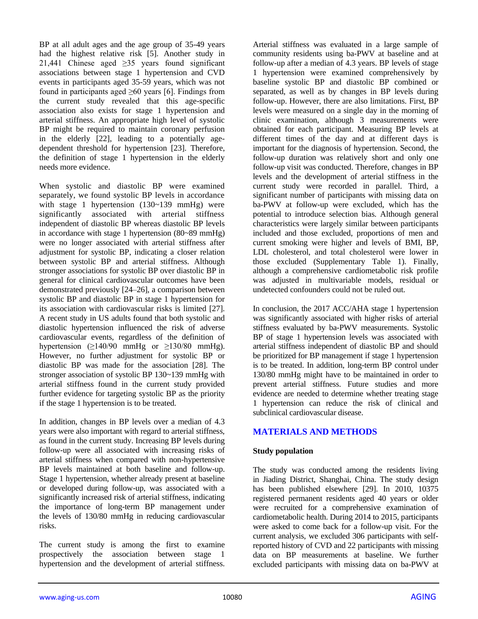BP at all adult ages and the age group of 35-49 years had the highest relative risk [5]. Another study in 21,441 Chinese aged  $\geq$ 35 years found significant associations between stage 1 hypertension and CVD events in participants aged 35-59 years, which was not found in participants aged  $\geq 60$  years [6]. Findings from the current study revealed that this age-specific association also exists for stage 1 hypertension and arterial stiffness. An appropriate high level of systolic BP might be required to maintain coronary perfusion in the elderly [22], leading to a potentially agedependent threshold for hypertension [23]. Therefore, the definition of stage 1 hypertension in the elderly needs more evidence.

When systolic and diastolic BP were examined separately, we found systolic BP levels in accordance with stage 1 hypertension (130~139 mmHg) were significantly associated with arterial stiffness independent of diastolic BP whereas diastolic BP levels in accordance with stage 1 hypertension (80~89 mmHg) were no longer associated with arterial stiffness after adjustment for systolic BP, indicating a closer relation between systolic BP and arterial stiffness. Although stronger associations for systolic BP over diastolic BP in general for clinical cardiovascular outcomes have been demonstrated previously [24–26], a comparison between systolic BP and diastolic BP in stage 1 hypertension for its association with cardiovascular risks is limited [27]. A recent study in US adults found that both systolic and diastolic hypertension influenced the risk of adverse cardiovascular events, regardless of the definition of hypertension  $(≥140/90$  mmHg or  $≥130/80$  mmHg). However, no further adjustment for systolic BP or diastolic BP was made for the association [28]. The stronger association of systolic BP 130~139 mmHg with arterial stiffness found in the current study provided further evidence for targeting systolic BP as the priority if the stage 1 hypertension is to be treated.

In addition, changes in BP levels over a median of 4.3 years were also important with regard to arterial stiffness, as found in the current study. Increasing BP levels during follow-up were all associated with increasing risks of arterial stiffness when compared with non-hypertensive BP levels maintained at both baseline and follow-up. Stage 1 hypertension, whether already present at baseline or developed during follow-up, was associated with a significantly increased risk of arterial stiffness, indicating the importance of long-term BP management under the levels of 130/80 mmHg in reducing cardiovascular risks.

The current study is among the first to examine prospectively the association between stage 1 hypertension and the development of arterial stiffness. Arterial stiffness was evaluated in a large sample of community residents using ba-PWV at baseline and at follow-up after a median of 4.3 years. BP levels of stage 1 hypertension were examined comprehensively by baseline systolic BP and diastolic BP combined or separated, as well as by changes in BP levels during follow-up. However, there are also limitations. First, BP levels were measured on a single day in the morning of clinic examination, although 3 measurements were obtained for each participant. Measuring BP levels at different times of the day and at different days is important for the diagnosis of hypertension. Second, the follow-up duration was relatively short and only one follow-up visit was conducted. Therefore, changes in BP levels and the development of arterial stiffness in the current study were recorded in parallel. Third, a significant number of participants with missing data on ba-PWV at follow-up were excluded, which has the potential to introduce selection bias. Although general characteristics were largely similar between participants included and those excluded, proportions of men and current smoking were higher and levels of BMI, BP, LDL cholesterol, and total cholesterol were lower in those excluded (Supplementary Table 1). Finally, although a comprehensive cardiometabolic risk profile was adjusted in multivariable models, residual or undetected confounders could not be ruled out.

In conclusion, the 2017 ACC/AHA stage 1 hypertension was significantly associated with higher risks of arterial stiffness evaluated by ba-PWV measurements. Systolic BP of stage 1 hypertension levels was associated with arterial stiffness independent of diastolic BP and should be prioritized for BP management if stage 1 hypertension is to be treated. In addition, long-term BP control under 130/80 mmHg might have to be maintained in order to prevent arterial stiffness. Future studies and more evidence are needed to determine whether treating stage 1 hypertension can reduce the risk of clinical and subclinical cardiovascular disease.

## **MATERIALS AND METHODS**

#### **Study population**

The study was conducted among the residents living in Jiading District, Shanghai, China. The study design has been published elsewhere [29]. In 2010, 10375 registered permanent residents aged 40 years or older were recruited for a comprehensive examination of cardiometabolic health. During 2014 to 2015, participants were asked to come back for a follow-up visit. For the current analysis, we excluded 306 participants with selfreported history of CVD and 22 participants with missing data on BP measurements at baseline. We further excluded participants with missing data on ba-PWV at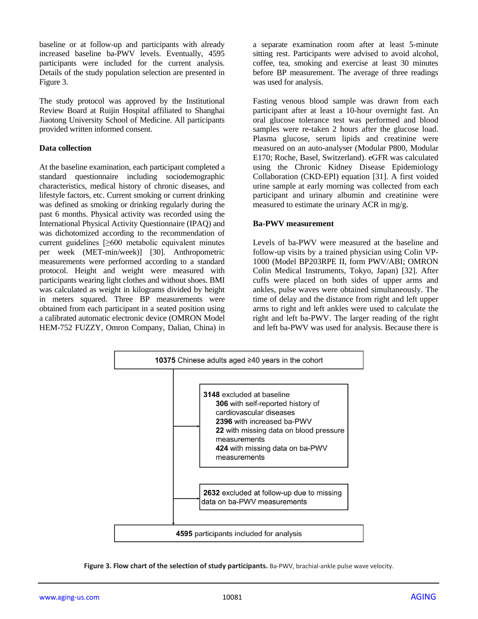baseline or at follow-up and participants with already increased baseline ba-PWV levels. Eventually, 4595 participants were included for the current analysis. Details of the study population selection are presented in Figure 3.

The study protocol was approved by the Institutional Review Board at Ruijin Hospital affiliated to Shanghai Jiaotong University School of Medicine. All participants provided written informed consent.

#### **Data collection**

At the baseline examination, each participant completed a standard questionnaire including sociodemographic characteristics, medical history of chronic diseases, and lifestyle factors, etc. Current smoking or current drinking was defined as smoking or drinking regularly during the past 6 months. Physical activity was recorded using the International Physical Activity Questionnaire (IPAQ) and was dichotomized according to the recommendation of current guidelines [≥600 metabolic equivalent minutes per week (MET-min/week)] [30]. Anthropometric measurements were performed according to a standard protocol. Height and weight were measured with participants wearing light clothes and without shoes. BMI was calculated as weight in kilograms divided by height in meters squared. Three BP measurements were obtained from each participant in a seated position using a calibrated automatic electronic device (OMRON Model HEM-752 FUZZY, Omron Company, Dalian, China) in

a separate examination room after at least 5-minute sitting rest. Participants were advised to avoid alcohol, coffee, tea, smoking and exercise at least 30 minutes before BP measurement. The average of three readings was used for analysis.

Fasting venous blood sample was drawn from each participant after at least a 10-hour overnight fast. An oral glucose tolerance test was performed and blood samples were re-taken 2 hours after the glucose load. Plasma glucose, serum lipids and creatinine were measured on an auto-analyser (Modular P800, Modular E170; Roche, Basel, Switzerland). eGFR was calculated using the Chronic Kidney Disease Epidemiology Collaboration (CKD-EPI) equation [31]. A first voided urine sample at early morning was collected from each participant and urinary albumin and creatinine were measured to estimate the urinary ACR in mg/g.

## **Ba-PWV measurement**

Levels of ba-PWV were measured at the baseline and follow-up visits by a trained physician using Colin VP-1000 (Model BP203RPE II, form PWV/ABI; OMRON Colin Medical Instruments, Tokyo, Japan) [32]. After cuffs were placed on both sides of upper arms and ankles, pulse waves were obtained simultaneously. The time of delay and the distance from right and left upper arms to right and left ankles were used to calculate the right and left ba-PWV. The larger reading of the right and left ba-PWV was used for analysis. Because there is



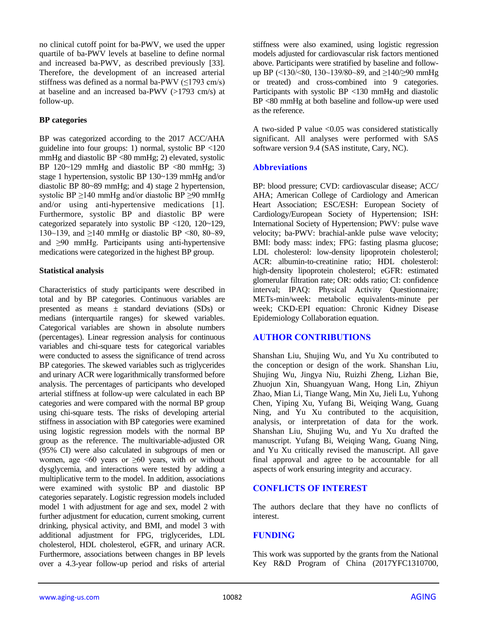no clinical cutoff point for ba-PWV, we used the upper quartile of ba-PWV levels at baseline to define normal and increased ba-PWV, as described previously [33]. Therefore, the development of an increased arterial stiffness was defined as a normal ba-PWV  $(\leq$ 1793 cm/s) at baseline and an increased ba-PWV (>1793 cm/s) at follow-up.

#### **BP categories**

BP was categorized according to the 2017 ACC/AHA guideline into four groups: 1) normal, systolic BP <120 mmHg and diastolic BP <80 mmHg; 2) elevated, systolic BP  $120~-129$  mmHg and diastolic BP  $\langle 80 \text{ mmHg}; 3 \rangle$ stage 1 hypertension, systolic BP 130~139 mmHg and/or diastolic BP 80~89 mmHg; and 4) stage 2 hypertension, systolic BP  $\geq$ 140 mmHg and/or diastolic BP  $\geq$ 90 mmHg and/or using anti-hypertensive medications [1]. Furthermore, systolic BP and diastolic BP were categorized separately into systolic BP <120, 120~129, 130~139, and ≥140 mmHg or diastolic BP <80, 80~89, and ≥90 mmHg. Participants using anti-hypertensive medications were categorized in the highest BP group.

#### **Statistical analysis**

Characteristics of study participants were described in total and by BP categories. Continuous variables are presented as means  $\pm$  standard deviations (SDs) or medians (interquartile ranges) for skewed variables. Categorical variables are shown in absolute numbers (percentages). Linear regression analysis for continuous variables and chi-square tests for categorical variables were conducted to assess the significance of trend across BP categories. The skewed variables such as triglycerides and urinary ACR were logarithmically transformed before analysis. The percentages of participants who developed arterial stiffness at follow-up were calculated in each BP categories and were compared with the normal BP group using chi-square tests. The risks of developing arterial stiffness in association with BP categories were examined using logistic regression models with the normal BP group as the reference. The multivariable-adjusted OR (95% CI) were also calculated in subgroups of men or women, age  $\leq 60$  years or  $\geq 60$  years, with or without dysglycemia, and interactions were tested by adding a multiplicative term to the model. In addition, associations were examined with systolic BP and diastolic BP categories separately. Logistic regression models included model 1 with adjustment for age and sex, model 2 with further adjustment for education, current smoking, current drinking, physical activity, and BMI, and model 3 with additional adjustment for FPG, triglycerides, LDL cholesterol, HDL cholesterol, eGFR, and urinary ACR. Furthermore, associations between changes in BP levels over a 4.3-year follow-up period and risks of arterial

stiffness were also examined, using logistic regression models adjusted for cardiovascular risk factors mentioned above. Participants were stratified by baseline and followup BP (<130/<80, 130~139/80~89, and ≥140/≥90 mmHg or treated) and cross-combined into 9 categories. Participants with systolic BP <130 mmHg and diastolic BP <80 mmHg at both baseline and follow-up were used as the reference.

A two-sided P value  $< 0.05$  was considered statistically significant. All analyses were performed with SAS software version 9.4 (SAS institute, Cary, NC).

## **Abbreviations**

BP: blood pressure; CVD: cardiovascular disease; ACC/ AHA; American College of Cardiology and American Heart Association; ESC/ESH: European Society of Cardiology/European Society of Hypertension; ISH: International Society of Hypertension; PWV: pulse wave velocity; ba-PWV: brachial-ankle pulse wave velocity; BMI: body mass: index; FPG: fasting plasma glucose; LDL cholesterol: low-density lipoprotein cholesterol; ACR: albumin-to-creatinine ratio; HDL cholesterol: high-density lipoprotein cholesterol; eGFR: estimated glomerular filtration rate; OR: odds ratio; CI: confidence interval; IPAQ: Physical Activity Questionnaire; METs-min/week: metabolic equivalents-minute per week; CKD-EPI equation: Chronic Kidney Disease Epidemiology Collaboration equation.

## **AUTHOR CONTRIBUTIONS**

Shanshan Liu, Shujing Wu, and Yu Xu contributed to the conception or design of the work. Shanshan Liu, Shujing Wu, Jingya Niu, Ruizhi Zheng, Lizhan Bie, Zhuojun Xin, Shuangyuan Wang, Hong Lin, Zhiyun Zhao, Mian Li, Tiange Wang, Min Xu, Jieli Lu, Yuhong Chen, Yiping Xu, Yufang Bi, Weiqing Wang, Guang Ning, and Yu Xu contributed to the acquisition, analysis, or interpretation of data for the work. Shanshan Liu, Shujing Wu, and Yu Xu drafted the manuscript. Yufang Bi, Weiqing Wang, Guang Ning, and Yu Xu critically revised the manuscript. All gave final approval and agree to be accountable for all aspects of work ensuring integrity and accuracy.

## **CONFLICTS OF INTEREST**

The authors declare that they have no conflicts of interest.

#### **FUNDING**

This work was supported by the grants from the National Key R&D Program of China (2017YFC1310700,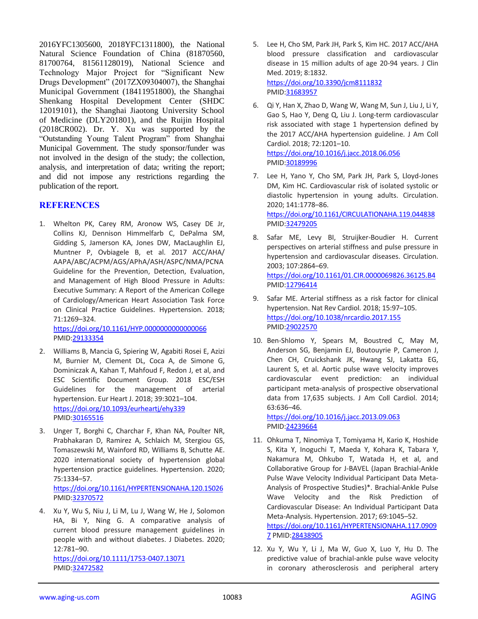2016YFC1305600, 2018YFC1311800), the National Natural Science Foundation of China (81870560, 81700764, 81561128019), National Science and Technology Major Project for "Significant New Drugs Development" (2017ZX09304007), the Shanghai Municipal Government (18411951800), the Shanghai Shenkang Hospital Development Center (SHDC 12019101), the Shanghai Jiaotong University School of Medicine (DLY201801), and the Ruijin Hospital (2018CR002). Dr. Y. Xu was supported by the "Outstanding Young Talent Program" from Shanghai Municipal Government. The study sponsor/funder was not involved in the design of the study; the collection, analysis, and interpretation of data; writing the report; and did not impose any restrictions regarding the publication of the report.

## **REFERENCES**

1. Whelton PK, Carey RM, Aronow WS, Casey DE Jr, Collins KJ, Dennison Himmelfarb C, DePalma SM, Gidding S, Jamerson KA, Jones DW, MacLaughlin EJ, Muntner P, Ovbiagele B, et al. 2017 ACC/AHA/ AAPA/ABC/ACPM/AGS/APhA/ASH/ASPC/NMA/PCNA Guideline for the Prevention, Detection, Evaluation, and Management of High Blood Pressure in Adults: Executive Summary: A Report of the American College of Cardiology/American Heart Association Task Force on Clinical Practice Guidelines. Hypertension. 2018; 71:1269–324.

<https://doi.org/10.1161/HYP.0000000000000066> PMID[:29133354](https://pubmed.ncbi.nlm.nih.gov/29133354)

- 2. Williams B, Mancia G, Spiering W, Agabiti Rosei E, Azizi M, Burnier M, Clement DL, Coca A, de Simone G, Dominiczak A, Kahan T, Mahfoud F, Redon J, et al, and ESC Scientific Document Group. 2018 ESC/ESH Guidelines for the management of arterial hypertension. Eur Heart J. 2018; 39:3021–104. <https://doi.org/10.1093/eurheartj/ehy339> PMID[:30165516](https://pubmed.ncbi.nlm.nih.gov/30165516)
- 3. Unger T, Borghi C, Charchar F, Khan NA, Poulter NR, Prabhakaran D, Ramirez A, Schlaich M, Stergiou GS, Tomaszewski M, Wainford RD, Williams B, Schutte AE. 2020 international society of hypertension global hypertension practice guidelines. Hypertension. 2020; 75:1334–57. <https://doi.org/10.1161/HYPERTENSIONAHA.120.15026>

PMID[:32370572](https://pubmed.ncbi.nlm.nih.gov/32370572)

4. Xu Y, Wu S, Niu J, Li M, Lu J, Wang W, He J, Solomon HA, Bi Y, Ning G. A comparative analysis of current blood pressure management guidelines in people with and without diabetes. J Diabetes. 2020; 12:781–90.

<https://doi.org/10.1111/1753-0407.13071> PMID[:32472582](https://pubmed.ncbi.nlm.nih.gov/32472582)

- 5. Lee H, Cho SM, Park JH, Park S, Kim HC. 2017 ACC/AHA blood pressure classification and cardiovascular disease in 15 million adults of age 20-94 years. J Clin Med. 2019; 8:1832. <https://doi.org/10.3390/jcm8111832> PMI[D:31683957](https://pubmed.ncbi.nlm.nih.gov/31683957)
- 6. Qi Y, Han X, Zhao D, Wang W, Wang M, Sun J, Liu J, Li Y, Gao S, Hao Y, Deng Q, Liu J. Long-term cardiovascular risk associated with stage 1 hypertension defined by the 2017 ACC/AHA hypertension guideline. J Am Coll Cardiol. 2018; 72:1201–10. <https://doi.org/10.1016/j.jacc.2018.06.056> PMI[D:30189996](https://pubmed.ncbi.nlm.nih.gov/30189996)
- 7. Lee H, Yano Y, Cho SM, Park JH, Park S, Lloyd-Jones DM, Kim HC. Cardiovascular risk of isolated systolic or diastolic hypertension in young adults. Circulation. 2020; 141:1778–86. <https://doi.org/10.1161/CIRCULATIONAHA.119.044838> PMI[D:32479205](https://pubmed.ncbi.nlm.nih.gov/32479205)
- 8. Safar ME, Levy BI, Struijker-Boudier H. Current perspectives on arterial stiffness and pulse pressure in hypertension and cardiovascular diseases. Circulation. 2003; 107:2864–69. <https://doi.org/10.1161/01.CIR.0000069826.36125.B4> PMI[D:12796414](https://pubmed.ncbi.nlm.nih.gov/12796414)
- 9. Safar ME. Arterial stiffness as a risk factor for clinical hypertension. Nat Rev Cardiol. 2018; 15:97–105. <https://doi.org/10.1038/nrcardio.2017.155> PMI[D:29022570](https://pubmed.ncbi.nlm.nih.gov/29022570)
- 10. Ben-Shlomo Y, Spears M, Boustred C, May M, Anderson SG, Benjamin EJ, Boutouyrie P, Cameron J, Chen CH, Cruickshank JK, Hwang SJ, Lakatta EG, Laurent S, et al. Aortic pulse wave velocity improves cardiovascular event prediction: an individual participant meta-analysis of prospective observational data from 17,635 subjects. J Am Coll Cardiol. 2014; 63:636–46.

<https://doi.org/10.1016/j.jacc.2013.09.063> PMI[D:24239664](https://pubmed.ncbi.nlm.nih.gov/24239664)

- 11. Ohkuma T, Ninomiya T, Tomiyama H, Kario K, Hoshide S, Kita Y, Inoguchi T, Maeda Y, Kohara K, Tabara Y, Nakamura M, Ohkubo T, Watada H, et al, and Collaborative Group for J-BAVEL (Japan Brachial-Ankle Pulse Wave Velocity Individual Participant Data Meta-Analysis of Prospective Studies)\*. Brachial-Ankle Pulse Wave Velocity and the Risk Prediction of Cardiovascular Disease: An Individual Participant Data Meta-Analysis. Hypertension. 2017; 69:1045–52. [https://doi.org/10.1161/HYPERTENSIONAHA.117.0909](https://doi.org/10.1161/HYPERTENSIONAHA.117.09097) [7](https://doi.org/10.1161/HYPERTENSIONAHA.117.09097) PMI[D:28438905](https://pubmed.ncbi.nlm.nih.gov/28438905)
- 12. Xu Y, Wu Y, Li J, Ma W, Guo X, Luo Y, Hu D. The predictive value of brachial-ankle pulse wave velocity in coronary atherosclerosis and peripheral artery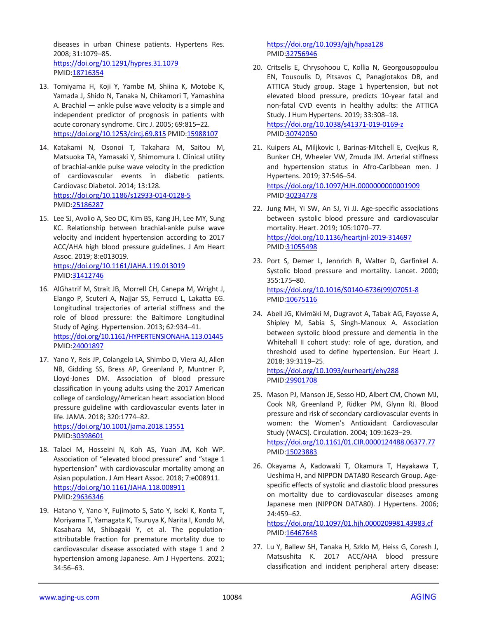diseases in urban Chinese patients. Hypertens Res. 2008; 31:1079–85. <https://doi.org/10.1291/hypres.31.1079> PMID[:18716354](https://pubmed.ncbi.nlm.nih.gov/18716354)

- 13. Tomiyama H, Koji Y, Yambe M, Shiina K, Motobe K, Yamada J, Shido N, Tanaka N, Chikamori T, Yamashina A. Brachial — ankle pulse wave velocity is a simple and independent predictor of prognosis in patients with acute coronary syndrome. Circ J. 2005; 69:815–22. <https://doi.org/10.1253/circj.69.815> PMI[D:15988107](https://pubmed.ncbi.nlm.nih.gov/15988107)
- 14. Katakami N, Osonoi T, Takahara M, Saitou M, Matsuoka TA, Yamasaki Y, Shimomura I. Clinical utility of brachial-ankle pulse wave velocity in the prediction of cardiovascular events in diabetic patients. Cardiovasc Diabetol. 2014; 13:128. <https://doi.org/10.1186/s12933-014-0128-5> PMID[:25186287](https://pubmed.ncbi.nlm.nih.gov/25186287)
- 15. Lee SJ, Avolio A, Seo DC, Kim BS, Kang JH, Lee MY, Sung KC. Relationship between brachial-ankle pulse wave velocity and incident hypertension according to 2017 ACC/AHA high blood pressure guidelines. J Am Heart Assoc. 2019; 8:e013019. <https://doi.org/10.1161/JAHA.119.013019> PMID[:31412746](https://pubmed.ncbi.nlm.nih.gov/31412746)
- 16. AlGhatrif M, Strait JB, Morrell CH, Canepa M, Wright J, Elango P, Scuteri A, Najjar SS, Ferrucci L, Lakatta EG. Longitudinal trajectories of arterial stiffness and the role of blood pressure: the Baltimore Longitudinal Study of Aging. Hypertension. 2013; 62:934–41. <https://doi.org/10.1161/HYPERTENSIONAHA.113.01445> PMID[:24001897](https://pubmed.ncbi.nlm.nih.gov/24001897)
- 17. Yano Y, Reis JP, Colangelo LA, Shimbo D, Viera AJ, Allen NB, Gidding SS, Bress AP, Greenland P, Muntner P, Lloyd-Jones DM. Association of blood pressure classification in young adults using the 2017 American college of cardiology/American heart association blood pressure guideline with cardiovascular events later in life. JAMA. 2018; 320:1774–82. <https://doi.org/10.1001/jama.2018.13551> PMID[:30398601](https://pubmed.ncbi.nlm.nih.gov/30398601)
- 18. Talaei M, Hosseini N, Koh AS, Yuan JM, Koh WP. Association of "elevated blood pressure" and "stage 1 hypertension" with cardiovascular mortality among an Asian population. J Am Heart Assoc. 2018; 7:e008911. <https://doi.org/10.1161/JAHA.118.008911> PMID[:29636346](https://pubmed.ncbi.nlm.nih.gov/29636346)
- 19. Hatano Y, Yano Y, Fujimoto S, Sato Y, Iseki K, Konta T, Moriyama T, Yamagata K, Tsuruya K, Narita I, Kondo M, Kasahara M, Shibagaki Y, et al. The populationattributable fraction for premature mortality due to cardiovascular disease associated with stage 1 and 2 hypertension among Japanese. Am J Hypertens. 2021; 34:56–63.

<https://doi.org/10.1093/ajh/hpaa128> PMI[D:32756946](https://pubmed.ncbi.nlm.nih.gov/32756946)

- 20. Critselis E, Chrysohoou C, Kollia N, Georgousopoulou EN, Tousoulis D, Pitsavos C, Panagiotakos DB, and ATTICA Study group. Stage 1 hypertension, but not elevated blood pressure, predicts 10-year fatal and non-fatal CVD events in healthy adults: the ATTICA Study. J Hum Hypertens. 2019; 33:308–18. <https://doi.org/10.1038/s41371-019-0169-z> PMI[D:30742050](https://pubmed.ncbi.nlm.nih.gov/30742050)
- 21. Kuipers AL, Miljkovic I, Barinas-Mitchell E, Cvejkus R, Bunker CH, Wheeler VW, Zmuda JM. Arterial stiffness and hypertension status in Afro-Caribbean men. J Hypertens. 2019; 37:546–54. <https://doi.org/10.1097/HJH.0000000000001909> PMI[D:30234778](https://pubmed.ncbi.nlm.nih.gov/30234778)
- 22. Jung MH, Yi SW, An SJ, Yi JJ. Age-specific associations between systolic blood pressure and cardiovascular mortality. Heart. 2019; 105:1070–77. <https://doi.org/10.1136/heartjnl-2019-314697> PMI[D:31055498](https://pubmed.ncbi.nlm.nih.gov/31055498)
- 23. Port S, Demer L, Jennrich R, Walter D, Garfinkel A. Systolic blood pressure and mortality. Lancet. 2000; 355:175–80. [https://doi.org/10.1016/S0140-6736\(99\)07051-8](https://doi.org/10.1016/S0140-6736(99)07051-8) PMI[D:10675116](https://pubmed.ncbi.nlm.nih.gov/10675116)
- 24. Abell JG, Kivimäki M, Dugravot A, Tabak AG, Fayosse A, Shipley M, Sabia S, Singh-Manoux A. Association between systolic blood pressure and dementia in the Whitehall II cohort study: role of age, duration, and threshold used to define hypertension. Eur Heart J. 2018; 39:3119–25.

<https://doi.org/10.1093/eurheartj/ehy288> PMI[D:29901708](https://pubmed.ncbi.nlm.nih.gov/29901708)

- 25. Mason PJ, Manson JE, Sesso HD, Albert CM, Chown MJ, Cook NR, Greenland P, Ridker PM, Glynn RJ. Blood pressure and risk of secondary cardiovascular events in women: the Women's Antioxidant Cardiovascular Study (WACS). Circulation. 2004; 109:1623–29. <https://doi.org/10.1161/01.CIR.0000124488.06377.77> PMI[D:15023883](https://pubmed.ncbi.nlm.nih.gov/15023883)
- 26. Okayama A, Kadowaki T, Okamura T, Hayakawa T, Ueshima H, and NIPPON DATA80 Research Group. Agespecific effects of systolic and diastolic blood pressures on mortality due to cardiovascular diseases among Japanese men (NIPPON DATA80). J Hypertens. 2006; 24:459–62.

<https://doi.org/10.1097/01.hjh.0000209981.43983.cf> PMI[D:16467648](https://pubmed.ncbi.nlm.nih.gov/16467648)

27. Lu Y, Ballew SH, Tanaka H, Szklo M, Heiss G, Coresh J, Matsushita K. 2017 ACC/AHA blood pressure classification and incident peripheral artery disease: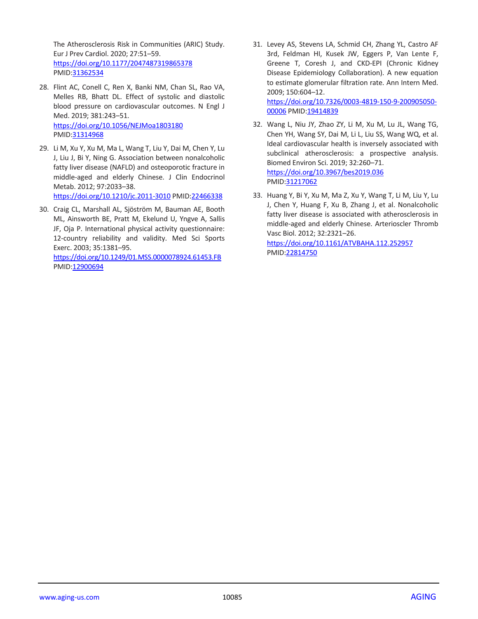The Atherosclerosis Risk in Communities (ARIC) Study. Eur J Prev Cardiol. 2020; 27:51–59. <https://doi.org/10.1177/2047487319865378> PMID[:31362534](https://pubmed.ncbi.nlm.nih.gov/31362534)

- 28. Flint AC, Conell C, Ren X, Banki NM, Chan SL, Rao VA, Melles RB, Bhatt DL. Effect of systolic and diastolic blood pressure on cardiovascular outcomes. N Engl J Med. 2019; 381:243–51. <https://doi.org/10.1056/NEJMoa1803180> PMID[:31314968](https://pubmed.ncbi.nlm.nih.gov/31314968)
- 29. Li M, Xu Y, Xu M, Ma L, Wang T, Liu Y, Dai M, Chen Y, Lu J, Liu J, Bi Y, Ning G. Association between nonalcoholic fatty liver disease (NAFLD) and osteoporotic fracture in middle-aged and elderly Chinese. J Clin Endocrinol Metab. 2012; 97:2033–38. <https://doi.org/10.1210/jc.2011-3010> PMID[:22466338](https://pubmed.ncbi.nlm.nih.gov/22466338)
- 30. Craig CL, Marshall AL, Sjöström M, Bauman AE, Booth ML, Ainsworth BE, Pratt M, Ekelund U, Yngve A, Sallis JF, Oja P. International physical activity questionnaire: 12-country reliability and validity. Med Sci Sports Exerc. 2003; 35:1381–95. <https://doi.org/10.1249/01.MSS.0000078924.61453.FB> PMID[:12900694](https://pubmed.ncbi.nlm.nih.gov/12900694)

31. Levey AS, Stevens LA, Schmid CH, Zhang YL, Castro AF 3rd, Feldman HI, Kusek JW, Eggers P, Van Lente F, Greene T, Coresh J, and CKD-EPI (Chronic Kidney Disease Epidemiology Collaboration). A new equation to estimate glomerular filtration rate. Ann Intern Med. 2009; 150:604–12. [https://doi.org/10.7326/0003-4819-150-9-200905050-](https://doi.org/10.7326/0003-4819-150-9-200905050-00006)

[00006](https://doi.org/10.7326/0003-4819-150-9-200905050-00006) PMI[D:19414839](https://pubmed.ncbi.nlm.nih.gov/19414839)

- 32. Wang L, Niu JY, Zhao ZY, Li M, Xu M, Lu JL, Wang TG, Chen YH, Wang SY, Dai M, Li L, Liu SS, Wang WQ, et al. Ideal cardiovascular health is inversely associated with subclinical atherosclerosis: a prospective analysis. Biomed Environ Sci. 2019; 32:260–71. <https://doi.org/10.3967/bes2019.036> PMI[D:31217062](https://pubmed.ncbi.nlm.nih.gov/31217062)
- 33. Huang Y, Bi Y, Xu M, Ma Z, Xu Y, Wang T, Li M, Liu Y, Lu J, Chen Y, Huang F, Xu B, Zhang J, et al. Nonalcoholic fatty liver disease is associated with atherosclerosis in middle-aged and elderly Chinese. Arterioscler Thromb Vasc Biol. 2012; 32:2321–26.

<https://doi.org/10.1161/ATVBAHA.112.252957> PMI[D:22814750](https://pubmed.ncbi.nlm.nih.gov/22814750)